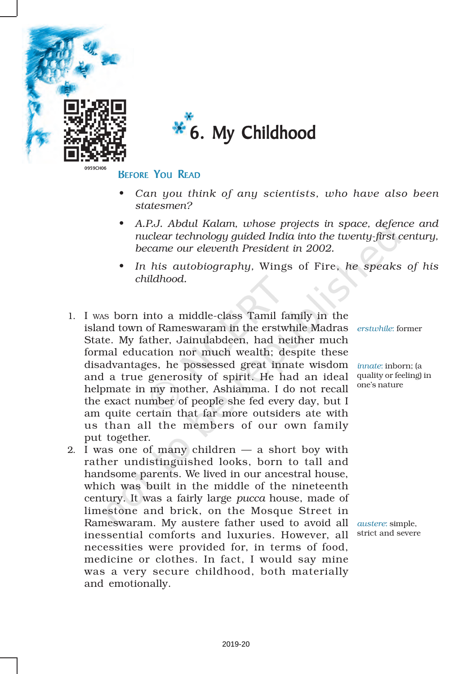



### BEFORE YOU READ

- *• Can you think of any scientists, who have also been statesmen?*
- *• A.P.J. Abdul Kalam, whose projects in space, defence and nuclear technology guided India into the twenty-first century, became our eleventh President in 2002.*
- *• In his autobiography,* Wings of Fire*, he speaks of his childhood.*
- 1. I WAS born into a middle-class Tamil family in the island town of Rameswaram in the erstwhile Madras *erstwhile*: former State. My father, Jainulabdeen, had neither much formal education nor much wealth; despite these disadvantages, he possessed great innate wisdom *innate*: inborn; (a and a true generosity of spirit. He had an ideal quality or feeling) in helpmate in my mother, Ashiamma. I do not recall the exact number of people she fed every day, but I am quite certain that far more outsiders ate with us than all the members of our own family put together.
- 2. I was one of many children  $-$  a short boy with rather undistinguished looks, born to tall and handsome parents. We lived in our ancestral house, which was built in the middle of the nineteenth century. It was a fairly large *pucca* house, made of limestone and brick, on the Mosque Street in Rameswaram. My austere father used to avoid all *austere*: simple, inessential comforts and luxuries. However, all necessities were provided for, in terms of food, medicine or clothes. In fact, I would say mine was a very secure childhood, both materially and emotionally.

one's nature

strict and severe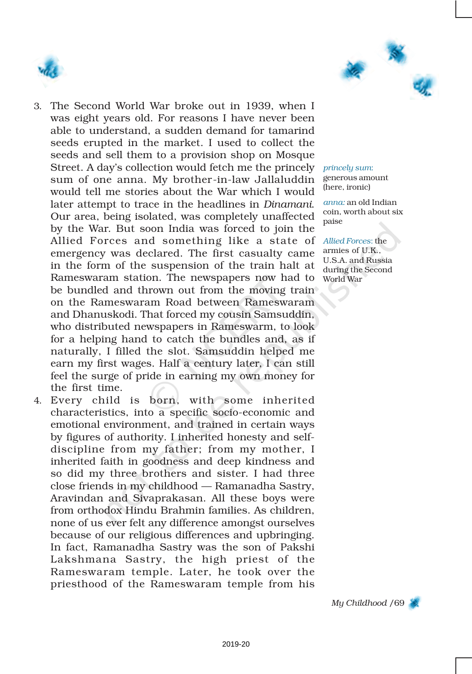



- 3. The Second World War broke out in 1939, when I was eight years old. For reasons I have never been able to understand, a sudden demand for tamarind seeds erupted in the market. I used to collect the seeds and sell them to a provision shop on Mosque Street. A day's collection would fetch me the princely *princely sum*: sum of one anna. My brother-in-law Jallaluddin generous amount would tell me stories about the War which I would later attempt to trace in the headlines in *Dinamani*. Our area, being isolated, was completely unaffected by the War. But soon India was forced to join the Allied Forces and something like a state of *Allied Forces*:the emergency was declared. The first casualty came in the form of the suspension of the train halt at Rameswaram station. The newspapers now had to World War be bundled and thrown out from the moving train on the Rameswaram Road between Rameswaram and Dhanuskodi. That forced my cousin Samsuddin, who distributed newspapers in Rameswarm, to look for a helping hand to catch the bundles and, as if naturally, I filled the slot. Samsuddin helped me earn my first wages. Half a century later, I can still feel the surge of pride in earning my own money for the first time.
- 4. Every child is born, with some inherited characteristics, into a specific socio-economic and emotional environment, and trained in certain ways by figures of authority. I inherited honesty and selfdiscipline from my father; from my mother, I inherited faith in goodness and deep kindness and so did my three brothers and sister. I had three close friends in my childhood — Ramanadha Sastry, Aravindan and Sivaprakasan. All these boys were from orthodox Hindu Brahmin families. As children, none of us ever felt any difference amongst ourselves because of our religious differences and upbringing. In fact, Ramanadha Sastry was the son of Pakshi Lakshmana Sastry, the high priest of the Rameswaram temple. Later, he took over the priesthood of the Rameswaram temple from his

(here, ironic)

*anna:* an old Indian coin, worth about six paise

armies of U.K., U.S.A. and Russia during the Second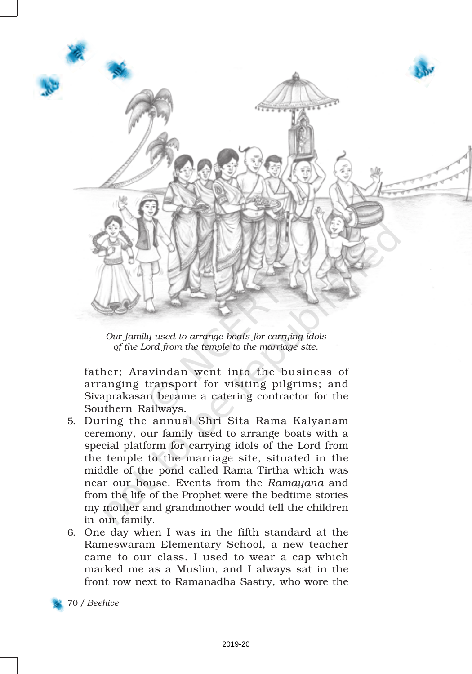

*Our family used to arrange boats for carrying idols of the Lord from the temple to the marriage site.*

father; Aravindan went into the business of arranging transport for visiting pilgrims; and Sivaprakasan became a catering contractor for the Southern Railways.

- 5. During the annual Shri Sita Rama Kalyanam ceremony, our family used to arrange boats with a special platform for carrying idols of the Lord from the temple to the marriage site, situated in the middle of the pond called Rama Tirtha which was near our house. Events from the *Ramayana* and from the life of the Prophet were the bedtime stories my mother and grandmother would tell the children in our family.
- 6. One day when I was in the fifth standard at the Rameswaram Elementary School, a new teacher came to our class. I used to wear a cap which marked me as a Muslim, and I always sat in the front row next to Ramanadha Sastry, who wore the

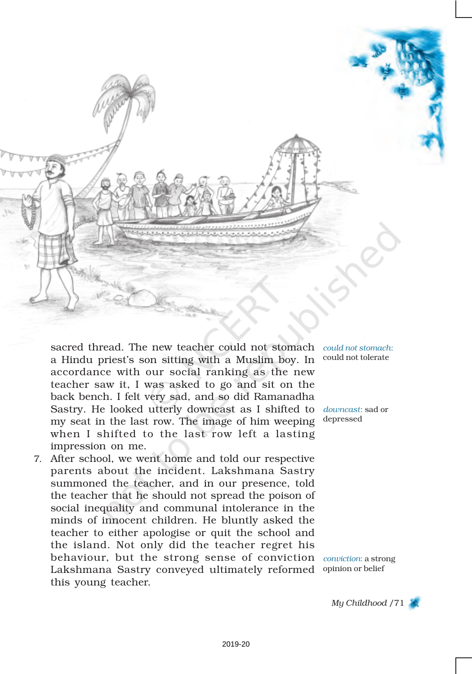

sacred thread. The new teacher could not stomach a Hindu priest's son sitting with a Muslim boy. In accordance with our social ranking as the new teacher saw it, I was asked to go and sit on the back bench. I felt very sad, and so did Ramanadha Sastry. He looked utterly downcast as I shifted to my seat in the last row. The image of him weeping when I shifted to the last row left a lasting impression on me.

behaviour, but the strong sense of conviction *conviction*: a strong 7. After school, we went home and told our respective parents about the incident. Lakshmana Sastry summoned the teacher, and in our presence, told the teacher that he should not spread the poison of social inequality and communal intolerance in the minds of innocent children. He bluntly asked the teacher to either apologise or quit the school and the island. Not only did the teacher regret his Lakshmana Sastry conveyed ultimately reformed this young teacher.

*could not stomach*: could not tolerate

*downcast*: sad or depressed

opinion or belief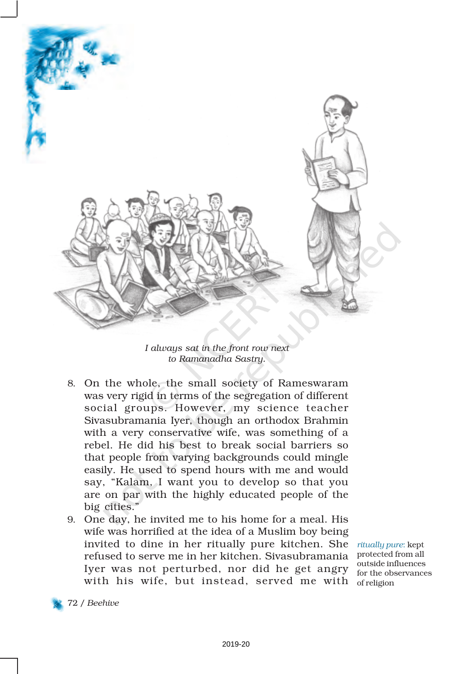

*I always sat in the front row next to Ramanadha Sastry.*

- 8. On the whole, the small society of Rameswaram was very rigid in terms of the segregation of different social groups. However, my science teacher Sivasubramania Iyer, though an orthodox Brahmin with a very conservative wife, was something of a rebel. He did his best to break social barriers so that people from varying backgrounds could mingle easily. He used to spend hours with me and would say, "Kalam, I want you to develop so that you are on par with the highly educated people of the big cities."
- 9. One day, he invited me to his home for a meal. His wife was horrified at the idea of a Muslim boy being invited to dine in her ritually pure kitchen. She *ritually pure*: kept refused to serve me in her kitchen. Sivasubramania protected from all Iyer was not perturbed, nor did he get angry with his wife, but instead, served me with  $_{\rm of \, religion}$

outside influences for the observances

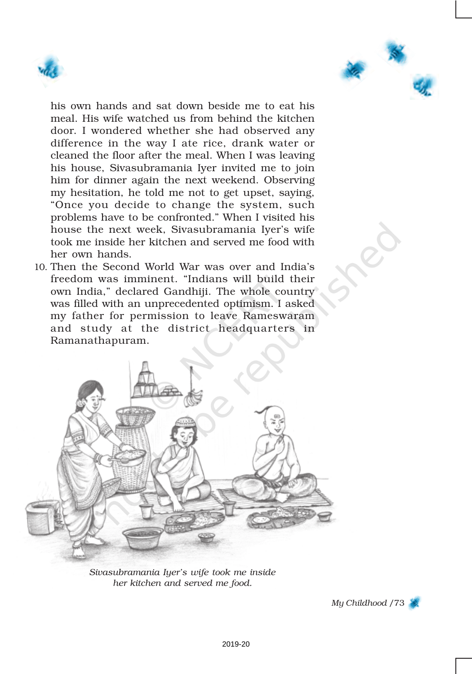



his own hands and sat down beside me to eat his meal. His wife watched us from behind the kitchen door. I wondered whether she had observed any difference in the way I ate rice, drank water or cleaned the floor after the meal. When I was leaving his house, Sivasubramania Iyer invited me to join him for dinner again the next weekend. Observing my hesitation, he told me not to get upset, saying, "Once you decide to change the system, such problems have to be confronted." When I visited his house the next week, Sivasubramania Iyer's wife took me inside her kitchen and served me food with her own hands.

10. Then the Second World War was over and India's freedom was imminent. "Indians will build their own India," declared Gandhiji. The whole country was filled with an unprecedented optimism. I asked my father for permission to leave Rameswaram and study at the district headquarters in Ramanathapuram.



*Sivasubramania Iyer's wife took me inside her kitchen and served me food.*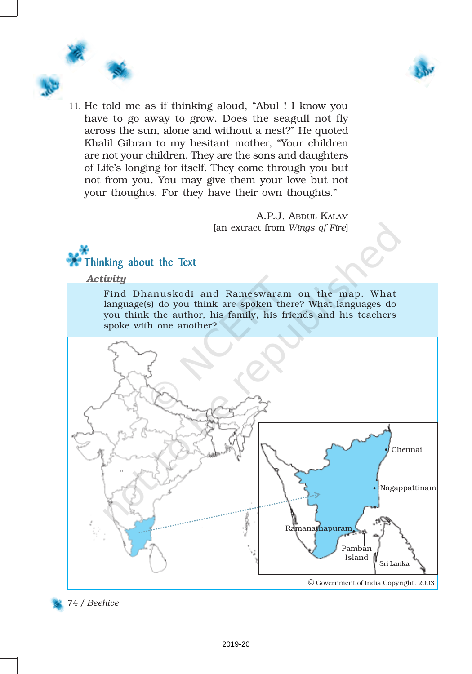



11. He told me as if thinking aloud, "Abul ! I know you have to go away to grow. Does the seagull not fly across the sun, alone and without a nest?" He quoted Khalil Gibran to my hesitant mother, "Your children are not your children. They are the sons and daughters of Life's longing for itself. They come through you but not from you. You may give them your love but not your thoughts. For they have their own thoughts."

> A.P.J. ABDUL KALAM [an extract from *Wings of Fire*]



*Activity*

Find Dhanuskodi and Rameswaram on the map. What language(s) do you think are spoken there? What languages do you think the author, his family, his friends and his teachers spoke with one another?



74 / *Beehive*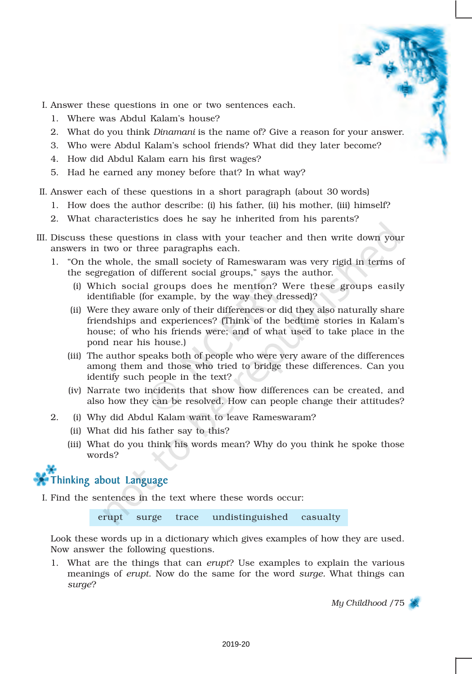I. Answer these questions in one or two sentences each.

- 1. Where was Abdul Kalam's house?
- 2. What do you think *Dinamani* is the name of? Give a reason for your answer.
- 3. Who were Abdul Kalam's school friends? What did they later become?
- 4. How did Abdul Kalam earn his first wages?
- 5. Had he earned any money before that? In what way?

II. Answer each of these questions in a short paragraph (about 30 words)

- 1. How does the author describe: (i) his father, (ii) his mother, (iii) himself?
- 2. What characteristics does he say he inherited from his parents?
- III. Discuss these questions in class with your teacher and then write down your answers in two or three paragraphs each.
	- 1. "On the whole, the small society of Rameswaram was very rigid in terms of the segregation of different social groups," says the author.
		- (i) Which social groups does he mention? Were these groups easily identifiable (for example, by the way they dressed)?
		- (ii) Were they aware only of their differences or did they also naturally share friendships and experiences? (Think of the bedtime stories in Kalam's house; of who his friends were; and of what used to take place in the pond near his house.)
		- (iii) The author speaks both of people who were very aware of the differences among them and those who tried to bridge these differences. Can you identify such people in the text?
		- (iv) Narrate two incidents that show how differences can be created, and also how they can be resolved. How can people change their attitudes?
	- 2. (i) Why did Abdul Kalam want to leave Rameswaram?
		- (ii) What did his father say to this?
		- (iii) What do you think his words mean? Why do you think he spoke those words?



I. Find the sentences in the text where these words occur:

erupt surge trace undistinguished casualty

Look these words up in a dictionary which gives examples of how they are used. Now answer the following questions.

1. What are the things that can *erupt*? Use examples to explain the various meanings of *erupt*. Now do the same for the word *surge.* What things can *surge*?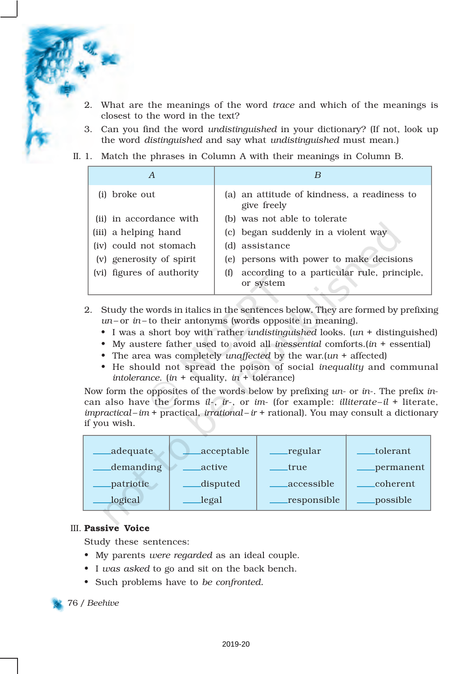- 2. What are the meanings of the word *trace* and which of the meanings is closest to the word in the text?
- 3. Can you find the word *undistinguished* in your dictionary? (If not, look up the word *distinguished* and say what *undistinguished* must mean.)
- II. 1. Match the phrases in Column A with their meanings in Column B.

| A                         |     |                                                            |
|---------------------------|-----|------------------------------------------------------------|
| broke out                 |     | (a) an attitude of kindness, a readiness to<br>give freely |
| (ii) in accordance with   |     | (b) was not able to tolerate                               |
| (iii) a helping hand      |     | (c) began suddenly in a violent way                        |
| (iv) could not stomach    |     | (d) assistance                                             |
| (v) generosity of spirit  |     | (e) persons with power to make decisions                   |
| (vi) figures of authority | (f) | according to a particular rule, principle,<br>or system    |

- 2. Study the words in italics in the sentences below. They are formed by prefixing *un* – or *in* – to their antonyms (words opposite in meaning).
	- I was a short boy with rather *undistinguished* looks. (*un* + distinguished)
	- My austere father used to avoid all *inessential* comforts.(*in* + essential)
	- The area was completely *unaffected* by the war.(*un* + affected)
	- He should not spread the poison of social *inequality* and communal *intolerance*. (*in* + equality, *in* + tolerance)

Now form the opposites of the words below by prefixing *un*- or *in*-. The prefix *in*can also have the forms *il*-, *ir*-, or *im*- (for example: *illiterate* –*il* + literate, *impractical* – *im* + practical, *irrational* – *ir* + rational). You may consult a dictionary if you wish.

| adequate  | acceptable | regular     | tolerant  |  |  |  |
|-----------|------------|-------------|-----------|--|--|--|
| demanding | active     | .true       | permanent |  |  |  |
| patriotic | disputed   | accessible  | coherent  |  |  |  |
| logical   | legal      | responsible | possible  |  |  |  |

### III. Passive Voice

Study these sentences:

- My parents *were regarded* as an ideal couple.
- I *was asked* to go and sit on the back bench.
- Such problems have to *be confronted.*

### 76 / *Beehive*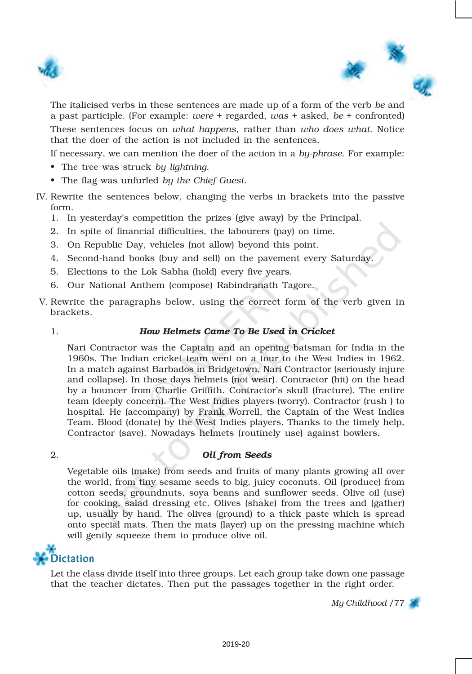



The italicised verbs in these sentences are made up of a form of the verb *be* and a past participle. (For example: *were* + regarded, *was* + asked, *be* + confronted) These sentences focus on *what happens*, rather than *who does what*. Notice that the doer of the action is not included in the sentences.

If necessary, we can mention the doer of the action in a *by-phrase*. For example:

- The tree was struck *by lightning*.
- The flag was unfurled *by the Chief Guest.*
- IV. Rewrite the sentences below, changing the verbs in brackets into the passive form.
	- 1. In yesterday's competition the prizes (give away) by the Principal.
	- 2. In spite of financial difficulties, the labourers (pay) on time.
	- 3. On Republic Day, vehicles (not allow) beyond this point.
	- 4. Second-hand books (buy and sell) on the pavement every Saturday.
	- 5. Elections to the Lok Sabha (hold) every five years.
	- 6. Our National Anthem (compose) Rabindranath Tagore.
- V. Rewrite the paragraphs below, using the correct form of the verb given in brackets.
	-

### 1. *How Helmets Came To Be Used in Cricket*

Nari Contractor was the Captain and an opening batsman for India in the 1960s. The Indian cricket team went on a tour to the West Indies in 1962. In a match against Barbados in Bridgetown, Nari Contractor (seriously injure and collapse). In those days helmets (not wear). Contractor (hit) on the head by a bouncer from Charlie Griffith. Contractor's skull (fracture). The entire team (deeply concern). The West Indies players (worry). Contractor (rush ) to hospital. He (accompany) by Frank Worrell, the Captain of the West Indies Team. Blood (donate) by the West Indies players. Thanks to the timely help, Contractor (save). Nowadays helmets (routinely use) against bowlers.

### 2. *Oil from Seeds*

Vegetable oils (make) from seeds and fruits of many plants growing all over the world, from tiny sesame seeds to big, juicy coconuts. Oil (produce) from cotton seeds, groundnuts, soya beans and sunflower seeds. Olive oil (use) for cooking, salad dressing etc. Olives (shake) from the trees and (gather) up, usually by hand. The olives (ground) to a thick paste which is spread onto special mats. Then the mats (layer) up on the pressing machine which will gently squeeze them to produce olive oil.



Let the class divide itself into three groups. Let each group take down one passage that the teacher dictates. Then put the passages together in the right order.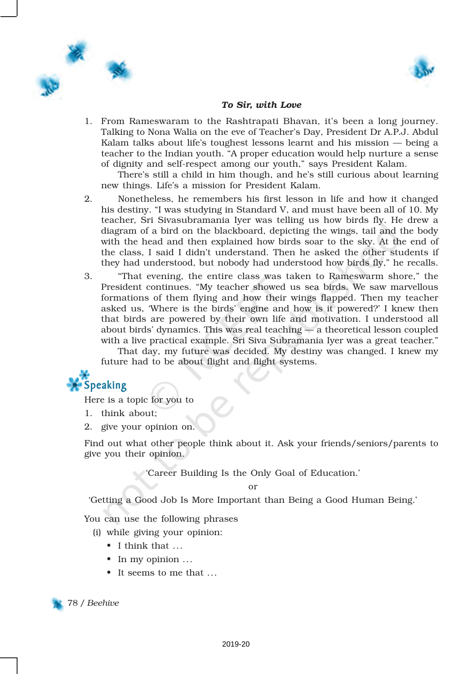



#### *To Sir, with Love*

1. From Rameswaram to the Rashtrapati Bhavan, it's been a long journey. Talking to Nona Walia on the eve of Teacher's Day, President Dr A.P.J. Abdul Kalam talks about life's toughest lessons learnt and his mission — being a teacher to the Indian youth. "A proper education would help nurture a sense of dignity and self-respect among our youth," says President Kalam.

There's still a child in him though, and he's still curious about learning new things. Life's a mission for President Kalam.

- 2. Nonetheless, he remembers his first lesson in life and how it changed his destiny. "I was studying in Standard V, and must have been all of 10. My teacher, Sri Sivasubramania Iyer was telling us how birds fly. He drew a diagram of a bird on the blackboard, depicting the wings, tail and the body with the head and then explained how birds soar to the sky. At the end of the class, I said I didn't understand. Then he asked the other students if they had understood, but nobody had understood how birds fly," he recalls.
- 3. "That evening, the entire class was taken to Rameswarm shore," the President continues. "My teacher showed us sea birds. We saw marvellous formations of them flying and how their wings flapped. Then my teacher asked us, 'Where is the birds' engine and how is it powered?' I knew then that birds are powered by their own life and motivation. I understood all about birds' dynamics. This was real teaching — a theoretical lesson coupled with a live practical example. Sri Siva Subramania Iyer was a great teacher."

That day, my future was decided. My destiny was changed. I knew my future had to be about flight and flight systems.

# Speaking

Here is a topic for you to

- 1. think about;
- 2. give your opinion on.

Find out what other people think about it. Ask your friends/seniors/parents to give you their opinion.

'Career Building Is the Only Goal of Education.'

or

'Getting a Good Job Is More Important than Being a Good Human Being.'

You can use the following phrases

- (i) while giving your opinion:
	- I think that ...
	- In my opinion ...
	- It seems to me that ...

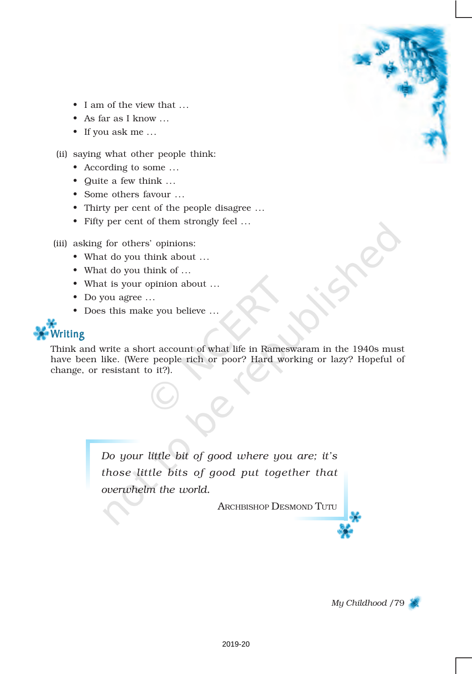

- I am of the view that ...
- As far as I know ...
- If you ask me ...

### (ii) saying what other people think:

- According to some ...
- Quite a few think ...
- Some others favour ...
- Thirty per cent of the people disagree ...
- Fifty per cent of them strongly feel ...

(iii) asking for others' opinions:

- What do you think about ...
- What do you think of ...
- What is your opinion about ...
- Do you agree ...
- Does this make you believe ...

# riting

Think and write a short account of what life in Rameswaram in the 1940s must have been like. (Were people rich or poor? Hard working or lazy? Hopeful of change, or resistant to it?).

> *Do your little bit of good where you are; it's those little bits of good put together that overwhelm the world.*

> > ARCHBISHOP DESMOND TUTU

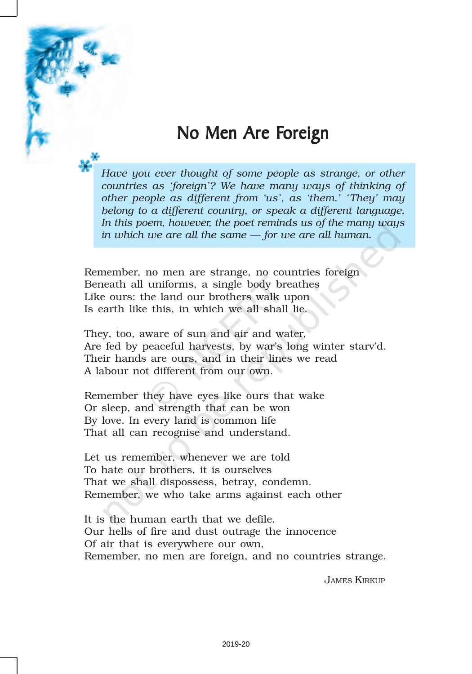

### No Men Are Foreign

*Have you ever thought of some people as strange, or other countries as 'foreign'? We have many ways of thinking of other people as different from 'us', as 'them.' 'They' may belong to a different country, or speak a different language. In this poem, however, the poet reminds us of the many ways in which we are all the same — for we are all human.*

Remember, no men are strange, no countries foreign Beneath all uniforms, a single body breathes Like ours: the land our brothers walk upon Is earth like this, in which we all shall lie.

They, too, aware of sun and air and water, Are fed by peaceful harvests, by war's long winter starv'd. Their hands are ours, and in their lines we read A labour not different from our own.

Remember they have eyes like ours that wake Or sleep, and strength that can be won By love. In every land is common life That all can recognise and understand.

Let us remember, whenever we are told To hate our brothers, it is ourselves That we shall dispossess, betray, condemn. Remember, we who take arms against each other

It is the human earth that we defile. Our hells of fire and dust outrage the innocence Of air that is everywhere our own, Remember, no men are foreign, and no countries strange.

JAMES KIRKUP